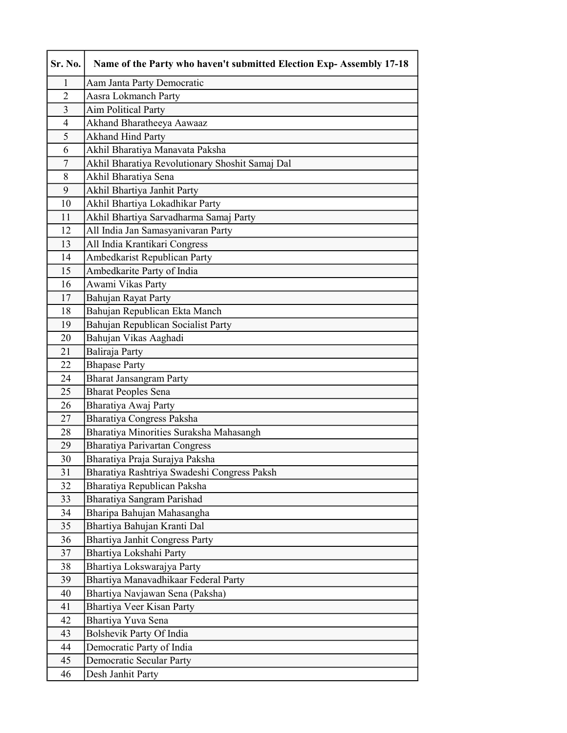| Sr. No.        | Name of the Party who haven't submitted Election Exp- Assembly 17-18 |
|----------------|----------------------------------------------------------------------|
| 1              | Aam Janta Party Democratic                                           |
| $\overline{2}$ | Aasra Lokmanch Party                                                 |
| 3              | <b>Aim Political Party</b>                                           |
| $\overline{4}$ | Akhand Bharatheeya Aawaaz                                            |
| 5              | <b>Akhand Hind Party</b>                                             |
| 6              | Akhil Bharatiya Manavata Paksha                                      |
| 7              | Akhil Bharatiya Revolutionary Shoshit Samaj Dal                      |
| 8              | Akhil Bharatiya Sena                                                 |
| 9              | Akhil Bhartiya Janhit Party                                          |
| 10             | Akhil Bhartiya Lokadhikar Party                                      |
| 11             | Akhil Bhartiya Sarvadharma Samaj Party                               |
| 12             | All India Jan Samasyanivaran Party                                   |
| 13             | All India Krantikari Congress                                        |
| 14             | Ambedkarist Republican Party                                         |
| 15             | Ambedkarite Party of India                                           |
| 16             | Awami Vikas Party                                                    |
| 17             | Bahujan Rayat Party                                                  |
| 18             | Bahujan Republican Ekta Manch                                        |
| 19             | Bahujan Republican Socialist Party                                   |
| 20             | Bahujan Vikas Aaghadi                                                |
| 21             | Baliraja Party                                                       |
| 22             | <b>Bhapase Party</b>                                                 |
| 24             | <b>Bharat Jansangram Party</b>                                       |
| 25             | <b>Bharat Peoples Sena</b>                                           |
| 26             | Bharatiya Awaj Party                                                 |
| 27             | Bharatiya Congress Paksha                                            |
| 28             | Bharatiya Minorities Suraksha Mahasangh                              |
| 29             | <b>Bharatiya Parivartan Congress</b>                                 |
| 30             | Bharatiya Praja Surajya Paksha                                       |
| 31             | Bharatiya Rashtriya Swadeshi Congress Paksh                          |
| 32             | Bharatiya Republican Paksha                                          |
| 33             | Bharatiya Sangram Parishad                                           |
| 34             | Bharipa Bahujan Mahasangha                                           |
| 35             | Bhartiya Bahujan Kranti Dal                                          |
| 36             | Bhartiya Janhit Congress Party                                       |
| 37<br>38       | Bhartiya Lokshahi Party<br>Bhartiya Lokswarajya Party                |
| 39             | Bhartiya Manavadhikaar Federal Party                                 |
| 40             |                                                                      |
| 41             | Bhartiya Navjawan Sena (Paksha)<br>Bhartiya Veer Kisan Party         |
| 42             | Bhartiya Yuva Sena                                                   |
| 43             | Bolshevik Party Of India                                             |
| 44             | Democratic Party of India                                            |
| 45             | Democratic Secular Party                                             |
| 46             | Desh Janhit Party                                                    |
|                |                                                                      |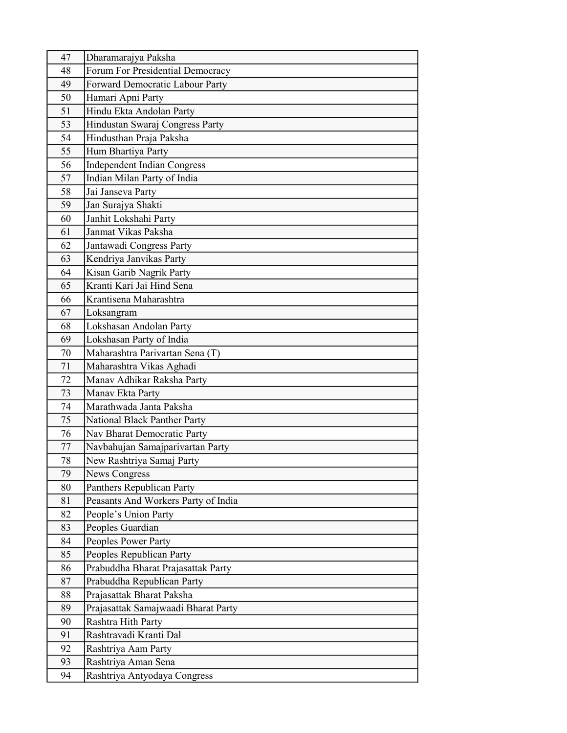| 47 | Dharamarajya Paksha                    |
|----|----------------------------------------|
| 48 | Forum For Presidential Democracy       |
| 49 | <b>Forward Democratic Labour Party</b> |
| 50 | Hamari Apni Party                      |
| 51 | Hindu Ekta Andolan Party               |
| 53 | Hindustan Swaraj Congress Party        |
| 54 | Hindusthan Praja Paksha                |
| 55 | Hum Bhartiya Party                     |
| 56 | <b>Independent Indian Congress</b>     |
| 57 | Indian Milan Party of India            |
| 58 | Jai Janseva Party                      |
| 59 | Jan Surajya Shakti                     |
| 60 | Janhit Lokshahi Party                  |
| 61 | Janmat Vikas Paksha                    |
| 62 | Jantawadi Congress Party               |
| 63 | Kendriya Janvikas Party                |
| 64 | Kisan Garib Nagrik Party               |
| 65 | Kranti Kari Jai Hind Sena              |
| 66 | Krantisena Maharashtra                 |
| 67 | Loksangram                             |
| 68 | Lokshasan Andolan Party                |
| 69 | Lokshasan Party of India               |
| 70 | Maharashtra Parivartan Sena (T)        |
| 71 | Maharashtra Vikas Aghadi               |
| 72 | Manav Adhikar Raksha Party             |
| 73 | Manav Ekta Party                       |
| 74 | Marathwada Janta Paksha                |
| 75 | National Black Panther Party           |
| 76 | Nav Bharat Democratic Party            |
| 77 | Navbahujan Samajparivartan Party       |
| 78 | New Rashtriya Samaj Party              |
| 79 | <b>News Congress</b>                   |
| 80 | Panthers Republican Party              |
| 81 | Peasants And Workers Party of India    |
| 82 | People's Union Party                   |
| 83 | Peoples Guardian                       |
| 84 | Peoples Power Party                    |
| 85 | Peoples Republican Party               |
| 86 | Prabuddha Bharat Prajasattak Party     |
| 87 | Prabuddha Republican Party             |
| 88 | Prajasattak Bharat Paksha              |
| 89 | Prajasattak Samajwaadi Bharat Party    |
| 90 | Rashtra Hith Party                     |
| 91 | Rashtravadi Kranti Dal                 |
| 92 | Rashtriya Aam Party                    |
| 93 | Rashtriya Aman Sena                    |
| 94 | Rashtriya Antyodaya Congress           |